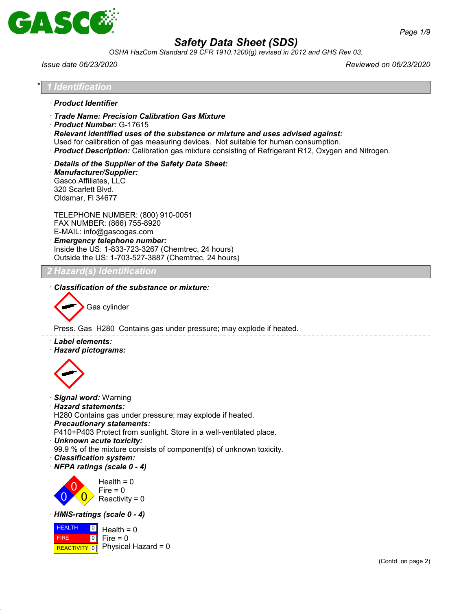

*OSHA HazCom Standard 29 CFR 1910.1200(g) revised in 2012 and GHS Rev 03.*

*Issue date 06/23/2020 Reviewed on 06/23/2020*

#### \* *1 Identification*

- · *Product Identifier*
- · *Trade Name: Precision Calibration Gas Mixture*
- · *Product Number:* G-17615

· *Relevant identified uses of the substance or mixture and uses advised against:*

Used for calibration of gas measuring devices. Not suitable for human consumption.

- · *Product Description:* Calibration gas mixture consisting of Refrigerant R12, Oxygen and Nitrogen.
- · *Details of the Supplier of the Safety Data Sheet:*
- · *Manufacturer/Supplier:* Gasco Affiliates, LLC 320 Scarlett Blvd. Oldsmar, Fl 34677

TELEPHONE NUMBER: (800) 910-0051 FAX NUMBER: (866) 755-8920 E-MAIL: info@gascogas.com · *Emergency telephone number:*

Inside the US: 1-833-723-3267 (Chemtrec, 24 hours) Outside the US: 1-703-527-3887 (Chemtrec, 24 hours)

# *2 Hazard(s) Identification*

· *Classification of the substance or mixture:*

Gas cylinder

Press. Gas H280 Contains gas under pressure; may explode if heated.

- · *Label elements:*
- · *Hazard pictograms:*



- · *Signal word:* Warning
- · *Hazard statements:*

H280 Contains gas under pressure; may explode if heated.

· *Precautionary statements:*

P410+P403 Protect from sunlight. Store in a well-ventilated place.

· *Unknown acute toxicity:*

99.9 % of the mixture consists of component(s) of unknown toxicity.

- · *Classification system:*
- · *NFPA ratings (scale 0 4)*



#### · *HMIS-ratings (scale 0 - 4)*

**HEALTH**  FIRE  $R$ **REACTIVITY**  $\boxed{0}$  Physical Hazard = 0  $\boxed{0}$  $\boxed{0}$ Health  $= 0$  $Fire = 0$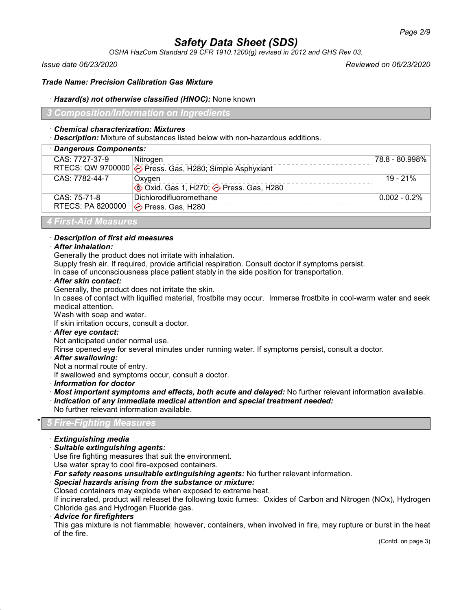*OSHA HazCom Standard 29 CFR 1910.1200(g) revised in 2012 and GHS Rev 03.*

*Issue date 06/23/2020 Reviewed on 06/23/2020*

## *Trade Name: Precision Calibration Gas Mixture*

### · *Hazard(s) not otherwise classified (HNOC):* None known

# *3 Composition/Information on Ingredients*

### · *Chemical characterization: Mixtures*

· *Description:* Mixture of substances listed below with non-hazardous additions.

| · Dangerous Components: |                                                                      |                 |
|-------------------------|----------------------------------------------------------------------|-----------------|
| CAS: 7727-37-9          | Nitrogen                                                             | 78.8 - 80.998%  |
|                         | RTECS: QW 9700000 $\diamondsuit$ Press. Gas, H280; Simple Asphyxiant |                 |
| CAS: 7782-44-7          | Oxygen                                                               | $19 - 21%$      |
|                         | <b><sup>◆</sup> Oxid. Gas 1, H270; → Press. Gas, H280</b>            |                 |
| CAS: 75-71-8            | Dichlorodifluoromethane                                              | $0.002 - 0.2\%$ |
| RTECS: PA 8200000       | ◯ Press. Gas, H280                                                   |                 |
| .                       |                                                                      |                 |

*4 First-Aid Measures*

# · *Description of first aid measures*

### · *After inhalation:*

Generally the product does not irritate with inhalation.

Supply fresh air. If required, provide artificial respiration. Consult doctor if symptoms persist.

In case of unconsciousness place patient stably in the side position for transportation.

## · *After skin contact:*

Generally, the product does not irritate the skin.

In cases of contact with liquified material, frostbite may occur. Immerse frostbite in cool-warm water and seek medical attention.

Wash with soap and water.

If skin irritation occurs, consult a doctor.

· *After eye contact:*

Not anticipated under normal use.

Rinse opened eye for several minutes under running water. If symptoms persist, consult a doctor.

· *After swallowing:*

Not a normal route of entry.

If swallowed and symptoms occur, consult a doctor.

- · *Information for doctor*
- · *Most important symptoms and effects, both acute and delayed:* No further relevant information available.
- · *Indication of any immediate medical attention and special treatment needed:*

No further relevant information available.

# \* *5 Fire-Fighting Measures*

- · *Extinguishing media*
- · *Suitable extinguishing agents:*

Use fire fighting measures that suit the environment.

Use water spray to cool fire-exposed containers.

- · *For safety reasons unsuitable extinguishing agents:* No further relevant information.
- · *Special hazards arising from the substance or mixture:*

Closed containers may explode when exposed to extreme heat.

If incinerated, product will releaset the following toxic fumes: Oxides of Carbon and Nitrogen (NOx), Hydrogen Chloride gas and Hydrogen Fluoride gas.

· *Advice for firefighters*

This gas mixture is not flammable; however, containers, when involved in fire, may rupture or burst in the heat of the fire.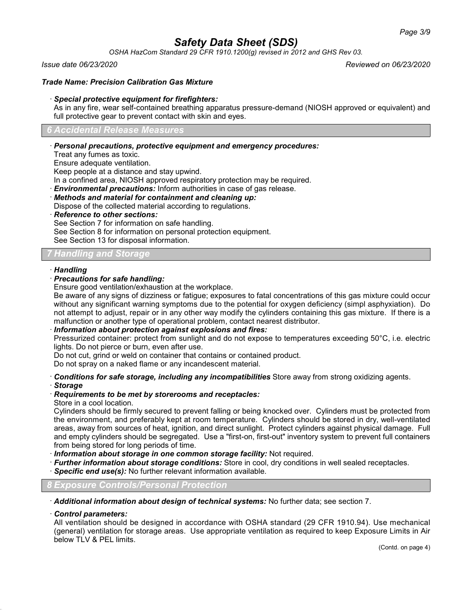*OSHA HazCom Standard 29 CFR 1910.1200(g) revised in 2012 and GHS Rev 03.*

*Issue date 06/23/2020 Reviewed on 06/23/2020*

# *Trade Name: Precision Calibration Gas Mixture*

#### · *Special protective equipment for firefighters:*

As in any fire, wear self-contained breathing apparatus pressure-demand (NIOSH approved or equivalent) and full protective gear to prevent contact with skin and eyes.

#### *6 Accidental Release Measures*

#### · *Personal precautions, protective equipment and emergency procedures:*

Treat any fumes as toxic.

Ensure adequate ventilation.

Keep people at a distance and stay upwind.

In a confined area, NIOSH approved respiratory protection may be required.

· *Environmental precautions:* Inform authorities in case of gas release.

· *Methods and material for containment and cleaning up:*

Dispose of the collected material according to regulations.

· *Reference to other sections:*

See Section 7 for information on safe handling.

See Section 8 for information on personal protection equipment.

See Section 13 for disposal information.

# *7 Handling and Storage*

#### · *Handling*

# · *Precautions for safe handling:*

Ensure good ventilation/exhaustion at the workplace.

Be aware of any signs of dizziness or fatigue; exposures to fatal concentrations of this gas mixture could occur without any significant warning symptoms due to the potential for oxygen deficiency (simpl asphyxiation). Do not attempt to adjust, repair or in any other way modify the cylinders containing this gas mixture. If there is a malfunction or another type of operational problem, contact nearest distributor.

### · *Information about protection against explosions and fires:*

Pressurized container: protect from sunlight and do not expose to temperatures exceeding 50°C, i.e. electric lights. Do not pierce or burn, even after use.

Do not cut, grind or weld on container that contains or contained product.

Do not spray on a naked flame or any incandescent material.

· *Conditions for safe storage, including any incompatibilities* Store away from strong oxidizing agents.

#### · *Storage*

# · *Requirements to be met by storerooms and receptacles:*

#### Store in a cool location.

Cylinders should be firmly secured to prevent falling or being knocked over. Cylinders must be protected from the environment, and preferably kept at room temperature. Cylinders should be stored in dry, well-ventilated areas, away from sources of heat, ignition, and direct sunlight. Protect cylinders against physical damage. Full and empty cylinders should be segregated. Use a "first-on, first-out" inventory system to prevent full containers from being stored for long periods of time.

· *Information about storage in one common storage facility:* Not required.

- · *Further information about storage conditions:* Store in cool, dry conditions in well sealed receptacles.
- **Specific end use(s):** No further relevant information available.

# *8 Exposure Controls/Personal Protection*

· *Additional information about design of technical systems:* No further data; see section 7.

#### · *Control parameters:*

All ventilation should be designed in accordance with OSHA standard (29 CFR 1910.94). Use mechanical (general) ventilation for storage areas. Use appropriate ventilation as required to keep Exposure Limits in Air below TLV & PEL limits.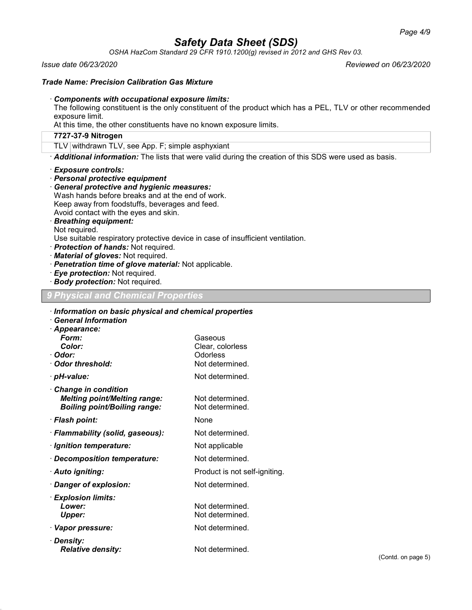*OSHA HazCom Standard 29 CFR 1910.1200(g) revised in 2012 and GHS Rev 03.*

*Issue date 06/23/2020 Reviewed on 06/23/2020*

## *Trade Name: Precision Calibration Gas Mixture*

· *Components with occupational exposure limits:*

The following constituent is the only constituent of the product which has a PEL, TLV or other recommended exposure limit.

At this time, the other constituents have no known exposure limits.

# **7727-37-9 Nitrogen**

TLV withdrawn TLV, see App. F; simple asphyxiant

· *Additional information:* The lists that were valid during the creation of this SDS were used as basis.

- · *Exposure controls:*
- · *Personal protective equipment*
- · *General protective and hygienic measures:* Wash hands before breaks and at the end of work. Keep away from foodstuffs, beverages and feed. Avoid contact with the eyes and skin.

### · *Breathing equipment:*

Not required.

Use suitable respiratory protective device in case of insufficient ventilation.

- · *Protection of hands:* Not required.
- · *Material of gloves:* Not required.
- · *Penetration time of glove material:* Not applicable.
- · *Eye protection:* Not required.
- · *Body protection:* Not required.

### *9 Physical and Chemical Properties*

| Information on basic physical and chemical properties<br><b>General Information</b>               |                                                            |
|---------------------------------------------------------------------------------------------------|------------------------------------------------------------|
| · Appearance:<br>Form:<br>Color:<br>· Odor:<br>Odor threshold:                                    | Gaseous<br>Clear, colorless<br>Odorless<br>Not determined. |
| · pH-value:                                                                                       | Not determined                                             |
| Change in condition<br><b>Melting point/Melting range:</b><br><b>Boiling point/Boiling range:</b> | Not determined.<br>Not determined.                         |
| · Flash point:                                                                                    | None                                                       |
| · Flammability (solid, gaseous):                                                                  | Not determined.                                            |
| · Ignition temperature:                                                                           | Not applicable                                             |
| · Decomposition temperature:                                                                      | Not determined.                                            |
| · Auto igniting:                                                                                  | Product is not self-igniting.                              |
| · Danger of explosion:                                                                            | Not determined.                                            |
| · Explosion limits:<br>Lower:<br><b>Upper:</b>                                                    | Not determined<br>Not determined.                          |
| · Vapor pressure:                                                                                 | Not determined.                                            |
| · Density:<br><b>Relative density:</b>                                                            | Not determined.                                            |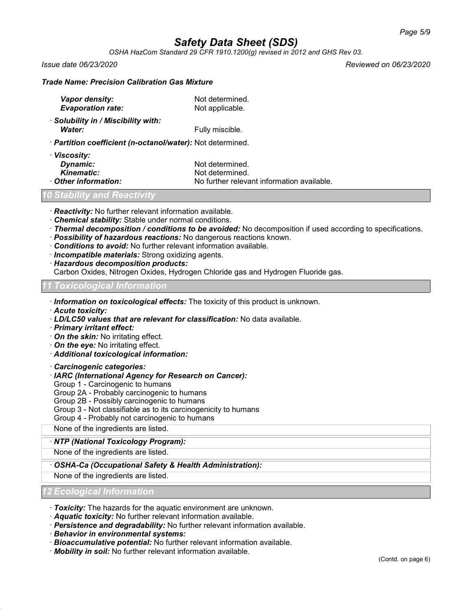*OSHA HazCom Standard 29 CFR 1910.1200(g) revised in 2012 and GHS Rev 03.*

*Issue date 06/23/2020 Reviewed on 06/23/2020*

### *Trade Name: Precision Calibration Gas Mixture*

| Vapor density:<br><b>Evaporation rate:</b>                          | Not determined.<br>Not applicable.                                               |
|---------------------------------------------------------------------|----------------------------------------------------------------------------------|
| · Solubility in / Miscibility with:<br>Water:                       | Fully miscible.                                                                  |
| · Partition coefficient (n-octanol/water): Not determined.          |                                                                                  |
| · Viscosity:<br>Dynamic:<br><b>Kinematic:</b><br>Other information: | Not determined.<br>Not determined.<br>No further relevant information available. |

# *Stability and Reactivi*

· *Reactivity:* No further relevant information available.

- · *Chemical stability:* Stable under normal conditions.
- · *Thermal decomposition / conditions to be avoided:* No decomposition if used according to specifications.
- · *Possibility of hazardous reactions:* No dangerous reactions known.
- · *Conditions to avoid:* No further relevant information available.
- · *Incompatible materials:* Strong oxidizing agents.
- · *Hazardous decomposition products:*

Carbon Oxides, Nitrogen Oxides, Hydrogen Chloride gas and Hydrogen Fluoride gas.

#### *11 Toxicological Information*

- · *Information on toxicological effects:* The toxicity of this product is unknown.
- · *Acute toxicity:*
- · *LD/LC50 values that are relevant for classification:* No data available.
- · *Primary irritant effect:*
- · *On the skin:* No irritating effect.
- · *On the eye:* No irritating effect.
- · *Additional toxicological information:*
- · *Carcinogenic categories:*
- · *IARC (International Agency for Research on Cancer):*
- Group 1 Carcinogenic to humans
- Group 2A Probably carcinogenic to humans
- Group 2B Possibly carcinogenic to humans
- Group 3 Not classifiable as to its carcinogenicity to humans
- Group 4 Probably not carcinogenic to humans

None of the ingredients are listed.

#### · *NTP (National Toxicology Program):*

None of the ingredients are listed.

#### · *OSHA-Ca (Occupational Safety & Health Administration):*

None of the ingredients are listed.

*12 Ecological Information*

· *Toxicity:* The hazards for the aquatic environment are unknown.

· *Aquatic toxicity:* No further relevant information available.

- · *Persistence and degradability:* No further relevant information available.
- · *Behavior in environmental systems:*
- · *Bioaccumulative potential:* No further relevant information available.
- · *Mobility in soil:* No further relevant information available.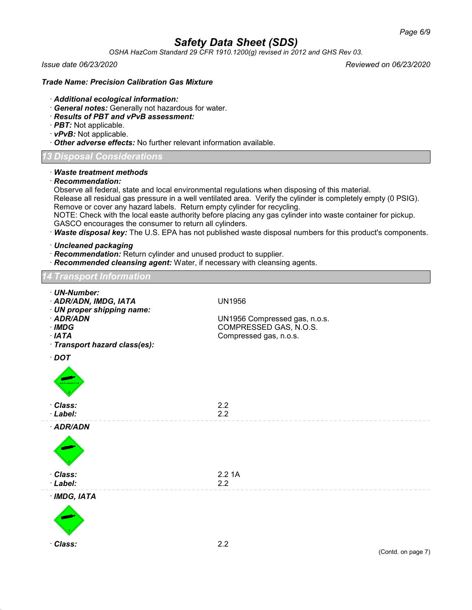*OSHA HazCom Standard 29 CFR 1910.1200(g) revised in 2012 and GHS Rev 03.*

*Issue date 06/23/2020 Reviewed on 06/23/2020*

## *Trade Name: Precision Calibration Gas Mixture*

- · *Additional ecological information:*
- · *General notes:* Generally not hazardous for water.
- · *Results of PBT and vPvB assessment:*
- · *PBT:* Not applicable.
- · *vPvB:* Not applicable.
- · *Other adverse effects:* No further relevant information available.

# *13 Disposal Considerations*

#### · *Waste treatment methods*

· *Recommendation:*

Observe all federal, state and local environmental regulations when disposing of this material.

Release all residual gas pressure in a well ventilated area. Verify the cylinder is completely empty (0 PSIG). Remove or cover any hazard labels. Return empty cylinder for recycling.

NOTE: Check with the local easte authority before placing any gas cylinder into waste container for pickup. GASCO encourages the consumer to return all cylinders.

· *Waste disposal key:* The U.S. EPA has not published waste disposal numbers for this product's components.

· *Uncleaned packaging*

- · *Recommendation:* Return cylinder and unused product to supplier.
- · *Recommended cleansing agent:* Water, if necessary with cleansing agents.

# *14 Transport Information*

| · UN-Number:<br>· ADR/ADN, IMDG, IATA<br>· UN proper shipping name:    | <b>UN1956</b>                                                                     |
|------------------------------------------------------------------------|-----------------------------------------------------------------------------------|
| · ADR/ADN<br>$\cdot$ IMDG<br>$·$ IATA<br>· Transport hazard class(es): | UN1956 Compressed gas, n.o.s.<br>COMPRESSED GAS, N.O.S.<br>Compressed gas, n.o.s. |
| $\cdot$ DOT                                                            |                                                                                   |
|                                                                        |                                                                                   |
| · Class:<br>· Label:                                                   | 2.2<br>2.2                                                                        |
| · ADR/ADN                                                              |                                                                                   |
|                                                                        |                                                                                   |
| · Class:                                                               | 2.21A                                                                             |
| · Label:<br>$·$ IMDG, IATA                                             | 2.2                                                                               |
|                                                                        |                                                                                   |
| Class:                                                                 | 2.2<br>(Contd. on page 7)                                                         |
|                                                                        |                                                                                   |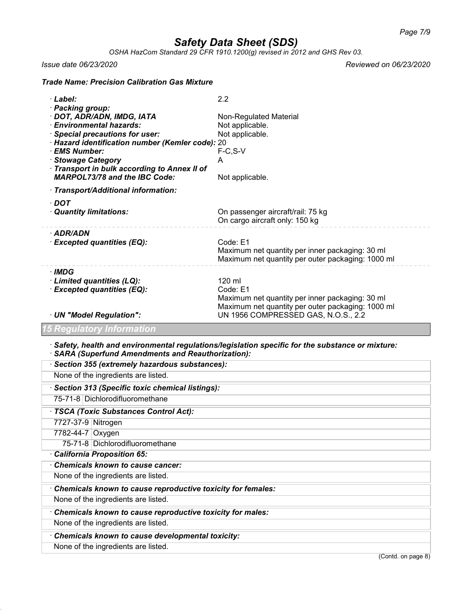*OSHA HazCom Standard 29 CFR 1910.1200(g) revised in 2012 and GHS Rev 03.*

*Issue date 06/23/2020 Reviewed on 06/23/2020*

| · Packing group:<br>· DOT, ADR/ADN, IMDG, IATA<br>Non-Regulated Material<br>· Environmental hazards:<br>Not applicable.<br>Not applicable.<br>· Special precautions for user:<br>· Hazard identification number (Kemler code): 20<br>$F-C, S-V$<br>· EMS Number:<br><b>Stowage Category</b><br>A<br>Transport in bulk according to Annex II of<br><b>MARPOL73/78 and the IBC Code:</b><br>Not applicable.<br>· Transport/Additional information:<br>$\cdot$ DOT<br>On passenger aircraft/rail: 75 kg<br>· Quantity limitations:<br>On cargo aircraft only: 150 kg<br>· ADR/ADN<br>Code: E1<br><b>Excepted quantities (EQ):</b><br>Maximum net quantity per inner packaging: 30 ml<br>Maximum net quantity per outer packaging: 1000 ml<br>· IMDG<br>120 ml<br>· Limited quantities (LQ):<br>· Excepted quantities (EQ):<br>Code: E1<br>Maximum net quantity per inner packaging: 30 ml<br>Maximum net quantity per outer packaging: 1000 ml<br>UN 1956 COMPRESSED GAS, N.O.S., 2.2<br>· UN "Model Regulation":<br>15 Regulatory Information<br>$\cdot$ Safety, health and environmental regulations/legislation specific for the substance or mixture:<br><b>SARA (Superfund Amendments and Reauthorization):</b> | · Label: | 2.2 |
|-------------------------------------------------------------------------------------------------------------------------------------------------------------------------------------------------------------------------------------------------------------------------------------------------------------------------------------------------------------------------------------------------------------------------------------------------------------------------------------------------------------------------------------------------------------------------------------------------------------------------------------------------------------------------------------------------------------------------------------------------------------------------------------------------------------------------------------------------------------------------------------------------------------------------------------------------------------------------------------------------------------------------------------------------------------------------------------------------------------------------------------------------------------------------------------------------------------------|----------|-----|
|                                                                                                                                                                                                                                                                                                                                                                                                                                                                                                                                                                                                                                                                                                                                                                                                                                                                                                                                                                                                                                                                                                                                                                                                                   |          |     |
|                                                                                                                                                                                                                                                                                                                                                                                                                                                                                                                                                                                                                                                                                                                                                                                                                                                                                                                                                                                                                                                                                                                                                                                                                   |          |     |
|                                                                                                                                                                                                                                                                                                                                                                                                                                                                                                                                                                                                                                                                                                                                                                                                                                                                                                                                                                                                                                                                                                                                                                                                                   |          |     |
|                                                                                                                                                                                                                                                                                                                                                                                                                                                                                                                                                                                                                                                                                                                                                                                                                                                                                                                                                                                                                                                                                                                                                                                                                   |          |     |
|                                                                                                                                                                                                                                                                                                                                                                                                                                                                                                                                                                                                                                                                                                                                                                                                                                                                                                                                                                                                                                                                                                                                                                                                                   |          |     |
|                                                                                                                                                                                                                                                                                                                                                                                                                                                                                                                                                                                                                                                                                                                                                                                                                                                                                                                                                                                                                                                                                                                                                                                                                   |          |     |
|                                                                                                                                                                                                                                                                                                                                                                                                                                                                                                                                                                                                                                                                                                                                                                                                                                                                                                                                                                                                                                                                                                                                                                                                                   |          |     |
|                                                                                                                                                                                                                                                                                                                                                                                                                                                                                                                                                                                                                                                                                                                                                                                                                                                                                                                                                                                                                                                                                                                                                                                                                   |          |     |
|                                                                                                                                                                                                                                                                                                                                                                                                                                                                                                                                                                                                                                                                                                                                                                                                                                                                                                                                                                                                                                                                                                                                                                                                                   |          |     |
|                                                                                                                                                                                                                                                                                                                                                                                                                                                                                                                                                                                                                                                                                                                                                                                                                                                                                                                                                                                                                                                                                                                                                                                                                   |          |     |
|                                                                                                                                                                                                                                                                                                                                                                                                                                                                                                                                                                                                                                                                                                                                                                                                                                                                                                                                                                                                                                                                                                                                                                                                                   |          |     |
|                                                                                                                                                                                                                                                                                                                                                                                                                                                                                                                                                                                                                                                                                                                                                                                                                                                                                                                                                                                                                                                                                                                                                                                                                   |          |     |
|                                                                                                                                                                                                                                                                                                                                                                                                                                                                                                                                                                                                                                                                                                                                                                                                                                                                                                                                                                                                                                                                                                                                                                                                                   |          |     |
|                                                                                                                                                                                                                                                                                                                                                                                                                                                                                                                                                                                                                                                                                                                                                                                                                                                                                                                                                                                                                                                                                                                                                                                                                   |          |     |
|                                                                                                                                                                                                                                                                                                                                                                                                                                                                                                                                                                                                                                                                                                                                                                                                                                                                                                                                                                                                                                                                                                                                                                                                                   |          |     |
|                                                                                                                                                                                                                                                                                                                                                                                                                                                                                                                                                                                                                                                                                                                                                                                                                                                                                                                                                                                                                                                                                                                                                                                                                   |          |     |
|                                                                                                                                                                                                                                                                                                                                                                                                                                                                                                                                                                                                                                                                                                                                                                                                                                                                                                                                                                                                                                                                                                                                                                                                                   |          |     |
|                                                                                                                                                                                                                                                                                                                                                                                                                                                                                                                                                                                                                                                                                                                                                                                                                                                                                                                                                                                                                                                                                                                                                                                                                   |          |     |
|                                                                                                                                                                                                                                                                                                                                                                                                                                                                                                                                                                                                                                                                                                                                                                                                                                                                                                                                                                                                                                                                                                                                                                                                                   |          |     |
|                                                                                                                                                                                                                                                                                                                                                                                                                                                                                                                                                                                                                                                                                                                                                                                                                                                                                                                                                                                                                                                                                                                                                                                                                   |          |     |
|                                                                                                                                                                                                                                                                                                                                                                                                                                                                                                                                                                                                                                                                                                                                                                                                                                                                                                                                                                                                                                                                                                                                                                                                                   |          |     |

|                                        |  | · Section 355 (extremely hazardous substances): |
|----------------------------------------|--|-------------------------------------------------|
|                                        |  | None of the ingredients are listed.             |
|                                        |  | Section 313 (Specific toxic chemical listings): |
|                                        |  | 75-71-8 Dichlorodifluoromethane                 |
| · TSCA (Toxic Substances Control Act): |  |                                                 |
|                                        |  | 7727-37-9 Nitrogen                              |
|                                        |  | 7782-44-7 Oxygen                                |
|                                        |  | 75-71-8 Dichlorodifluoromethane                 |

### · *California Proposition 65:*

· *Chemicals known to cause cancer:*

None of the ingredients are listed.

# · *Chemicals known to cause reproductive toxicity for females:*

None of the ingredients are listed.

### · *Chemicals known to cause reproductive toxicity for males:*

None of the ingredients are listed.

# · *Chemicals known to cause developmental toxicity:*

None of the ingredients are listed.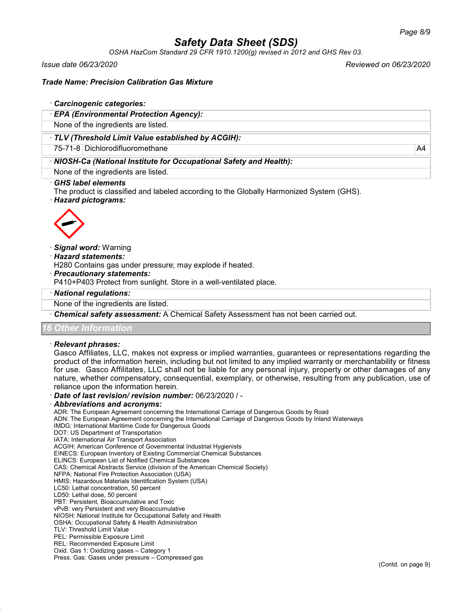*OSHA HazCom Standard 29 CFR 1910.1200(g) revised in 2012 and GHS Rev 03.*

*Issue date 06/23/2020 Reviewed on 06/23/2020*

# *Trade Name: Precision Calibration Gas Mixture*

## · *Carcinogenic categories:*

· *EPA (Environmental Protection Agency):*

None of the ingredients are listed.

· *TLV (Threshold Limit Value established by ACGIH):*

75-71-8 Dichlorodifluoromethane A4

· *NIOSH-Ca (National Institute for Occupational Safety and Health):*

None of the ingredients are listed.

### · *GHS label elements*

The product is classified and labeled according to the Globally Harmonized System (GHS).

· *Hazard pictograms:*



· *Signal word:* Warning

· *Hazard statements:*

H280 Contains gas under pressure; may explode if heated.

· *Precautionary statements:*

P410+P403 Protect from sunlight. Store in a well-ventilated place.

#### · *National regulations:*

None of the ingredients are listed.

· *Chemical safety assessment:* A Chemical Safety Assessment has not been carried out.

#### *16 Other Information*

#### · *Relevant phrases:*

Gasco Affiliates, LLC, makes not express or implied warranties, guarantees or representations regarding the product of the information herein, including but not limited to any implied warranty or merchantability or fitness for use. Gasco Affilitates, LLC shall not be liable for any personal injury, property or other damages of any nature, whether compensatory, consequential, exemplary, or otherwise, resulting from any publication, use of reliance upon the information herein.

· *Date of last revision/ revision number:* 06/23/2020 / -

#### · *Abbreviations and acronyms:*

ADR: The European Agreement concerning the International Carriage of Dangerous Goods by Road

ADN: The European Agreement concerning the International Carriage of Dangerous Goods by Inland Waterways

IMDG: International Maritime Code for Dangerous Goods

DOT: US Department of Transportation

IATA: International Air Transport Association

ACGIH: American Conference of Governmental Industrial Hygienists

EINECS: European Inventory of Existing Commercial Chemical Substances

ELINCS: European List of Notified Chemical Substances CAS: Chemical Abstracts Service (division of the American Chemical Society)

NFPA: National Fire Protection Association (USA)

HMIS: Hazardous Materials Identification System (USA)

LC50: Lethal concentration, 50 percent

LD50: Lethal dose, 50 percent

PBT: Persistent, Bioaccumulative and Toxic

vPvB: very Persistent and very Bioaccumulative

NIOSH: National Institute for Occupational Safety and Health

OSHA: Occupational Safety & Health Administration

TLV: Threshold Limit Value

PEL: Permissible Exposure Limit

REL: Recommended Exposure Limit

Oxid. Gas 1: Oxidizing gases – Category 1

Press. Gas: Gases under pressure – Compressed gas